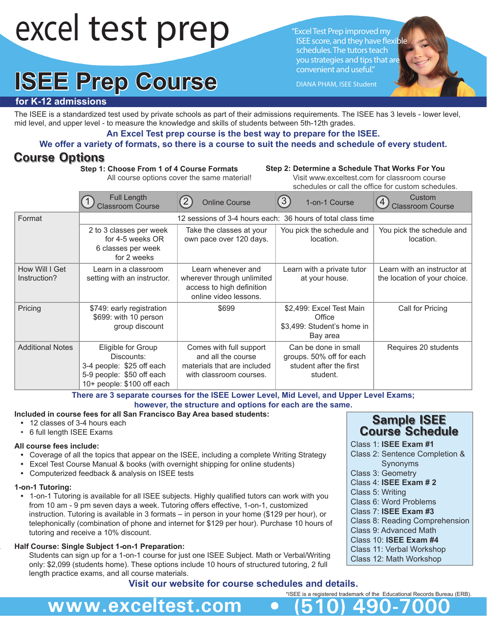# excel test prep

# **ISEE Prep Course**

"Excel Test Prep improved my ISEE score, and they have flexible schedules. The tutors teach you strategies and tips that are convenient and useful."

DIANA PHAM, ISEE Student

# **for K-12 admissions**

The ISEE is a standardized test used by private schools as part of their admissions requirements. The ISEE has 3 levels - lower level, mid level, and upper level - to measure the knowledge and skills of students between 5th-12th grades.

**An Excel Test prep course is the best way to prepare for the ISEE.**

# **We offer a variety of formats, so there is a course to suit the needs and schedule of every student.**

# **Course Options**

**Step 1: Choose From 1 of 4 Course Formats** All course options cover the same material!

### **Step 2: Determine a Schedule That Works For You**

 Visit www.exceltest.com for classroom course schedules or call the office for custom schedules.

|                                | <b>Full Length</b><br><b>Classroom Course</b>                                                                            | (2)<br><b>Online Course</b>                                                                             | $\left(3\right)$<br>1-on-1 Course                                                       | Custom<br>$\overline{4}$<br><b>Classroom Course</b>         |  |
|--------------------------------|--------------------------------------------------------------------------------------------------------------------------|---------------------------------------------------------------------------------------------------------|-----------------------------------------------------------------------------------------|-------------------------------------------------------------|--|
| Format                         |                                                                                                                          | 12 sessions of 3-4 hours each: 36 hours of total class time                                             |                                                                                         |                                                             |  |
|                                | 2 to 3 classes per week<br>for 4-5 weeks OR<br>6 classes per week<br>for 2 weeks                                         | Take the classes at your<br>own pace over 120 days.                                                     | You pick the schedule and<br>location.                                                  | You pick the schedule and<br>location.                      |  |
| How Will I Get<br>Instruction? | Learn in a classroom<br>setting with an instructor.                                                                      | Learn whenever and<br>wherever through unlimited<br>access to high definition<br>online video lessons.  | Learn with a private tutor<br>at your house.                                            | Learn with an instructor at<br>the location of your choice. |  |
| Pricing                        | \$749: early registration<br>\$699: with 10 person<br>group discount                                                     | \$699                                                                                                   | \$2,499: Excel Test Main<br>Office<br>\$3,499: Student's home in<br>Bay area            | Call for Pricing                                            |  |
| <b>Additional Notes</b>        | Eligible for Group<br>Discounts:<br>3-4 people: \$25 off each<br>5-9 people: \$50 off each<br>10+ people: \$100 off each | Comes with full support<br>and all the course<br>materials that are included<br>with classroom courses. | Can be done in small<br>groups. 50% off for each<br>student after the first<br>student. | Requires 20 students                                        |  |

**There are 3 separate courses for the ISEE Lower Level, Mid Level, and Upper Level Exams; however, the structure and options for each are the same.** 

## **Included in course fees for all San Francisco Bay Area based students:**

**www.exceltest.com • (510) 490-7000**

- 12 classes of 3-4 hours each
- 6 full length ISEE Exams

# **All course fees include:**

- **•** Coverage of all the topics that appear on the ISEE, including a complete Writing Strategy
- **•** Excel Test Course Manual & books (with overnight shipping for online students)
- **•** Computerized feedback & analysis on ISEE tests

#### **1-on-1 Tutoring:**

 **•** 1-on-1 Tutoring is available for all ISEE subjects. Highly qualified tutors can work with you from 10 am - 9 pm seven days a week. Tutoring offers effective, 1-on-1, customized instruction. Tutoring is available in 3 formats – in person in your home (\$129 per hour), or telephonically (combination of phone and internet for \$129 per hour). Purchase 10 hours of tutoring and receive a 10% discount.

## **Half Course: Single Subject 1-on-1 Preparation:**

 Students can sign up for a 1-on-1 course for just one ISEE Subject. Math or Verbal/Writing only: \$2,099 (students home). These options include 10 hours of structured tutoring, 2 full length practice exams, and all course materials.

# **Visit our website for course schedules and details.**

# **Sample ISEE Course Schedule**

- Class 1: **ISEE Exam #1**
- Class 2: Sentence Completion & Synonyms
- Class 3: Geometry Class 4: **ISEE Exam # 2**
- Class 5: Writing
- Class 6: Word Problems
- Class 7: **ISEE Exam #3**
- Class 8: Reading Comprehension
- Class 9: Advanced Math
- Class 10: **ISEE Exam #4**
- Class 11: Verbal Workshop
- Class 12: Math Workshop

\*ISEE is a registered trademark of the Educational Records Bureau (ERB).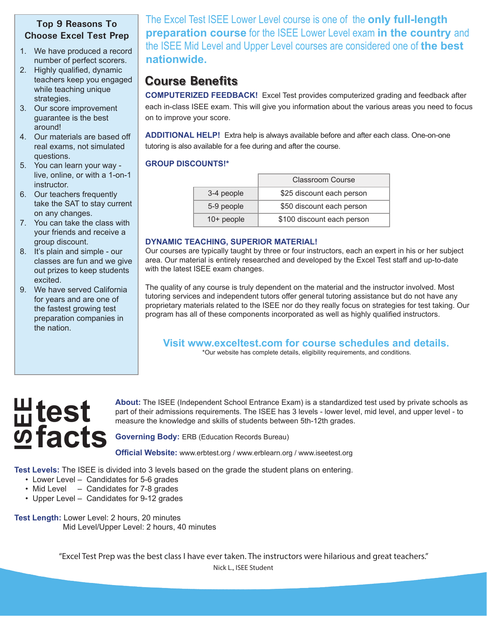# **Top 9 Reasons To Choose Excel Test Prep**

- 1. We have produced a record number of perfect scorers.
- 2. Highly qualified, dynamic teachers keep you engaged while teaching unique strategies.
- 3. Our score improvement guarantee is the best around!
- 4. Our materials are based off real exams, not simulated questions.
- 5. You can learn your way live, online, or with a 1-on-1 instructor.
- 6. Our teachers frequently take the SAT to stay current on any changes.
- 7. You can take the class with your friends and receive a group discount.
- 8. It's plain and simple our classes are fun and we give out prizes to keep students excited.
- 9. We have served California for years and are one of the fastest growing test preparation companies in the nation.

The Excel Test ISEE Lower Level course is one of the **only full-length preparation course** for the ISEE Lower Level exam **in the country** and the ISEE Mid Level and Upper Level courses are considered one of **the best nationwide.** 

# **Course Benefits**

**COMPUTERIZED FEEDBACK!** Excel Test provides computerized grading and feedback after each in-class ISEE exam. This will give you information about the various areas you need to focus on to improve your score.

**ADDITIONAL HELP!** Extra help is always available before and after each class. One-on-one tutoring is also available for a fee during and after the course.

# **GROUP DISCOUNTS!\***

|              | Classroom Course           |
|--------------|----------------------------|
| 3-4 people   | \$25 discount each person  |
| 5-9 people   | \$50 discount each person  |
| $10+$ people | \$100 discount each person |

# **DYNAMIC TEACHING, SUPERIOR MATERIAL!**

Our courses are typically taught by three or four instructors, each an expert in his or her subject area. Our material is entirely researched and developed by the Excel Test staff and up-to-date with the latest ISEE exam changes.

The quality of any course is truly dependent on the material and the instructor involved. Most tutoring services and independent tutors offer general tutoring assistance but do not have any proprietary materials related to the ISEE nor do they really focus on strategies for test taking. Our program has all of these components incorporated as well as highly qualified instructors.

**Visit www.exceltest.com for course schedules and details.** 

\*Our website has complete details, eligibility requirements, and conditions.

# **test ISEE facts**

**About:** The ISEE (Independent School Entrance Exam) is a standardized test used by private schools as part of their admissions requirements. The ISEE has 3 levels - lower level, mid level, and upper level - to measure the knowledge and skills of students between 5th-12th grades.

**Governing Body:** ERB (Education Records Bureau)

**Official Website:** www.erbtest.org / www.erblearn.org / www.iseetest.org

**Test Levels:** The ISEE is divided into 3 levels based on the grade the student plans on entering.

- Lower Level Candidates for 5-6 grades
- Mid Level Candidates for 7-8 grades
- Upper Level Candidates for 9-12 grades
- **Test Length:** Lower Level: 2 hours, 20 minutes Mid Level/Upper Level: 2 hours, 40 minutes

"Excel Test Prep was the best class I have ever taken. The instructors were hilarious and great teachers." Nick L., ISEE Student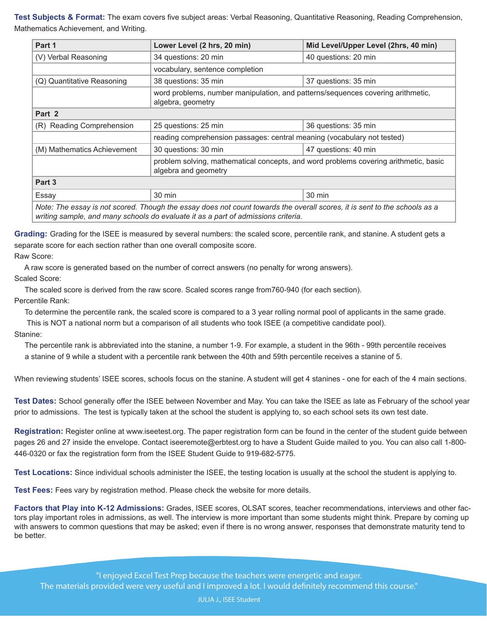**Test Subjects & Format:** The exam covers five subject areas: Verbal Reasoning, Quantitative Reasoning, Reading Comprehension, Mathematics Achievement, and Writing.

| Part 1                                                                                                                                                                                                         | Lower Level (2 hrs, 20 min)                                                                                  | Mid Level/Upper Level (2hrs, 40 min) |  |  |  |  |
|----------------------------------------------------------------------------------------------------------------------------------------------------------------------------------------------------------------|--------------------------------------------------------------------------------------------------------------|--------------------------------------|--|--|--|--|
| (V) Verbal Reasoning                                                                                                                                                                                           | 34 questions: 20 min                                                                                         | 40 questions: 20 min                 |  |  |  |  |
|                                                                                                                                                                                                                | vocabulary, sentence completion                                                                              |                                      |  |  |  |  |
| (Q) Quantitative Reasoning                                                                                                                                                                                     | 38 questions: 35 min                                                                                         | 37 questions: 35 min                 |  |  |  |  |
|                                                                                                                                                                                                                | word problems, number manipulation, and patterns/sequences covering arithmetic,<br>algebra, geometry         |                                      |  |  |  |  |
| Part 2                                                                                                                                                                                                         |                                                                                                              |                                      |  |  |  |  |
| (R) Reading Comprehension                                                                                                                                                                                      | 25 questions: 25 min                                                                                         | 36 questions: 35 min                 |  |  |  |  |
|                                                                                                                                                                                                                | reading comprehension passages: central meaning (vocabulary not tested)                                      |                                      |  |  |  |  |
| (M) Mathematics Achievement                                                                                                                                                                                    | 30 questions: 30 min                                                                                         | 47 questions: 40 min                 |  |  |  |  |
|                                                                                                                                                                                                                | problem solving, mathematical concepts, and word problems covering arithmetic, basic<br>algebra and geometry |                                      |  |  |  |  |
| Part 3                                                                                                                                                                                                         |                                                                                                              |                                      |  |  |  |  |
| Essay                                                                                                                                                                                                          | 30 min                                                                                                       | 30 min                               |  |  |  |  |
| Note: The essay is not scored. Though the essay does not count towards the overall scores, it is sent to the schools as a<br>writing sample, and many schools do evaluate it as a part of admissions criteria. |                                                                                                              |                                      |  |  |  |  |

**Grading:** Grading for the ISEE is measured by several numbers: the scaled score, percentile rank, and stanine. A student gets a separate score for each section rather than one overall composite score.

Raw Score:

A raw score is generated based on the number of correct answers (no penalty for wrong answers).

Scaled Score:

The scaled score is derived from the raw score. Scaled scores range from760-940 (for each section).

Percentile Rank:

To determine the percentile rank, the scaled score is compared to a 3 year rolling normal pool of applicants in the same grade.

This is NOT a national norm but a comparison of all students who took ISEE (a competitive candidate pool).

Stanine:

 The percentile rank is abbreviated into the stanine, a number 1-9. For example, a student in the 96th - 99th percentile receives a stanine of 9 while a student with a percentile rank between the 40th and 59th percentile receives a stanine of 5.

When reviewing students' ISEE scores, schools focus on the stanine. A student will get 4 stanines - one for each of the 4 main sections.

**Test Dates:** School generally offer the ISEE between November and May. You can take the ISEE as late as February of the school year prior to admissions. The test is typically taken at the school the student is applying to, so each school sets its own test date.

**Registration:** Register online at www.iseetest.org. The paper registration form can be found in the center of the student guide between pages 26 and 27 inside the envelope. Contact iseeremote@erbtest.org to have a Student Guide mailed to you. You can also call 1-800- 446-0320 or fax the registration form from the ISEE Student Guide to 919-682-5775.

**Test Locations:** Since individual schools administer the ISEE, the testing location is usually at the school the student is applying to.

**Test Fees:** Fees vary by registration method. Please check the website for more details.

**Factors that Play into K-12 Admissions:** Grades, ISEE scores, OLSAT scores, teacher recommendations, interviews and other factors play important roles in admissions, as well. The interview is more important than some students might think. Prepare by coming up with answers to common questions that may be asked; even if there is no wrong answer, responses that demonstrate maturity tend to be better.